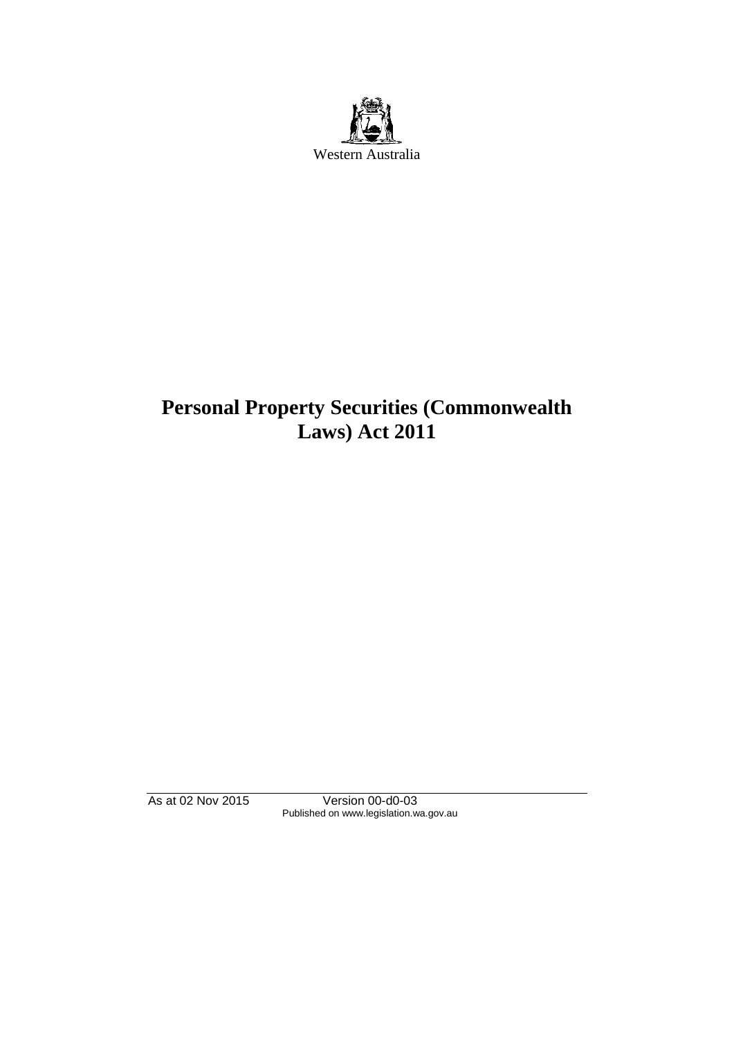

# **Personal Property Securities (Commonwealth Laws) Act 2011**

As at 02 Nov 2015 Version 00-d0-03 Published on www.legislation.wa.gov.au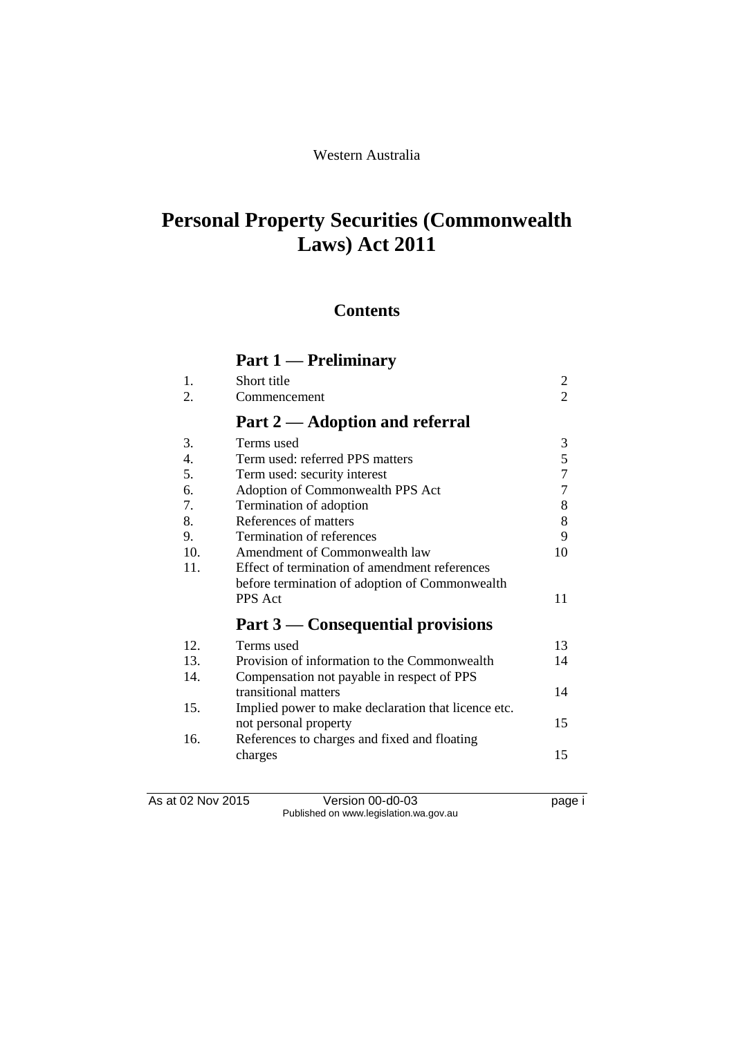# **Personal Property Securities (Commonwealth Laws) Act 2011**

### **Contents**

# **Part 1 — Preliminary**

| 2<br>3<br>5<br>$\overline{7}$<br>7<br>8<br>8<br>9 |
|---------------------------------------------------|
|                                                   |
|                                                   |
|                                                   |
|                                                   |
|                                                   |
|                                                   |
|                                                   |
|                                                   |
|                                                   |
| 10                                                |
|                                                   |
|                                                   |
| 11                                                |
|                                                   |
| 13                                                |
| 14                                                |
|                                                   |
| 14                                                |
|                                                   |
| 15                                                |
|                                                   |
|                                                   |
|                                                   |

As at 02 Nov 2015 Version 00-d0-03 page i Published on www.legislation.wa.gov.au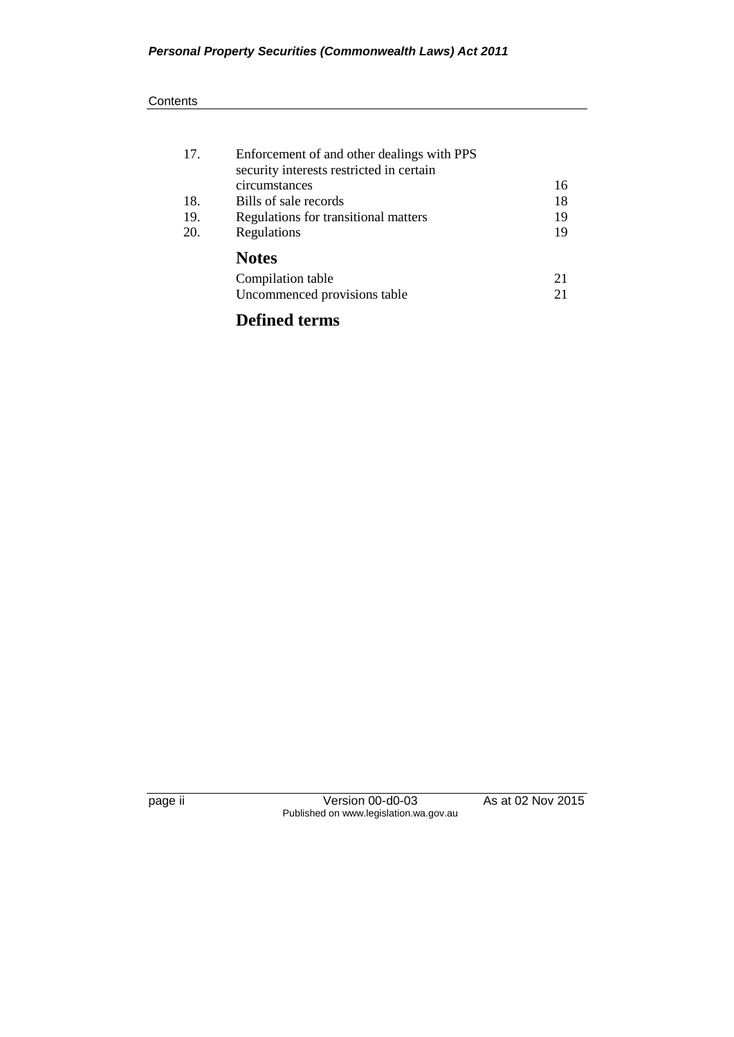#### **Contents**

| 17. | Enforcement of and other dealings with PPS<br>security interests restricted in certain |    |
|-----|----------------------------------------------------------------------------------------|----|
|     | circumstances                                                                          | 16 |
| 18. | Bills of sale records                                                                  | 18 |
| 19. | Regulations for transitional matters                                                   | 19 |
| 20. | Regulations                                                                            | 19 |
|     | <b>Notes</b>                                                                           |    |
|     | Compilation table                                                                      | 21 |
|     | Uncommenced provisions table                                                           | 21 |
|     |                                                                                        |    |

## **Defined terms**

page ii Version 00-d0-03 As at 02 Nov 2015 Published on www.legislation.wa.gov.au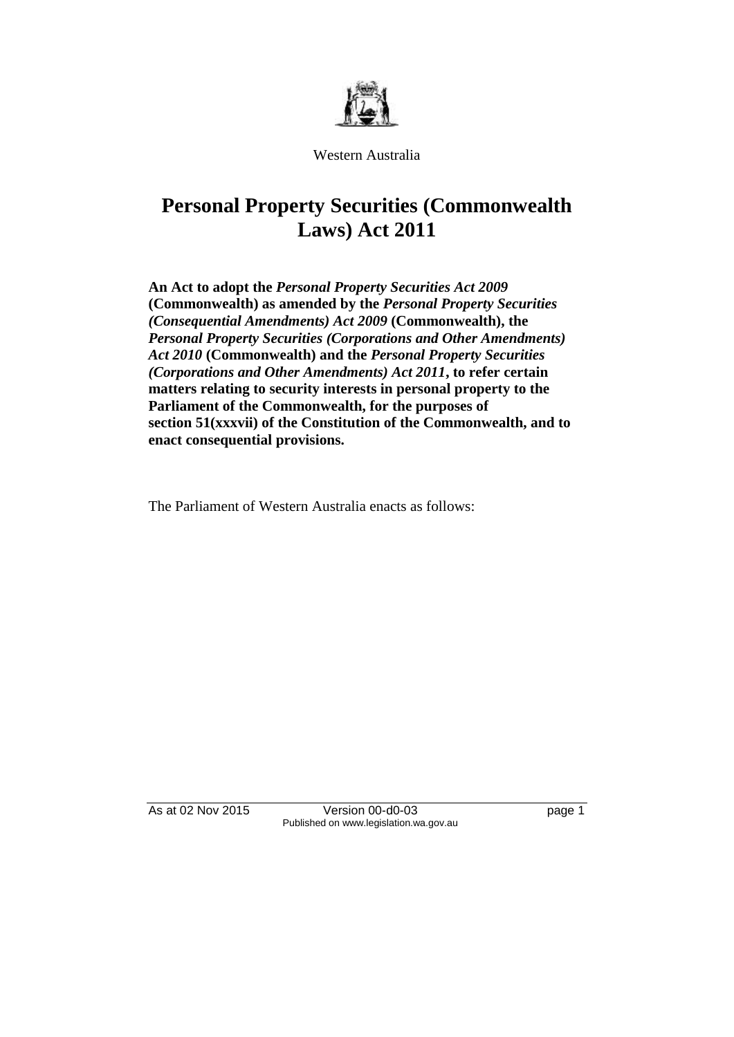

Western Australia

# **Personal Property Securities (Commonwealth Laws) Act 2011**

**An Act to adopt the** *Personal Property Securities Act 2009* **(Commonwealth) as amended by the** *Personal Property Securities (Consequential Amendments) Act 2009* **(Commonwealth), the**  *Personal Property Securities (Corporations and Other Amendments) Act 2010* **(Commonwealth) and the** *Personal Property Securities (Corporations and Other Amendments) Act 2011***, to refer certain matters relating to security interests in personal property to the Parliament of the Commonwealth, for the purposes of section 51(xxxvii) of the Constitution of the Commonwealth, and to enact consequential provisions.**

The Parliament of Western Australia enacts as follows:

As at 02 Nov 2015 Version 00-d0-03 page 1 Published on www.legislation.wa.gov.au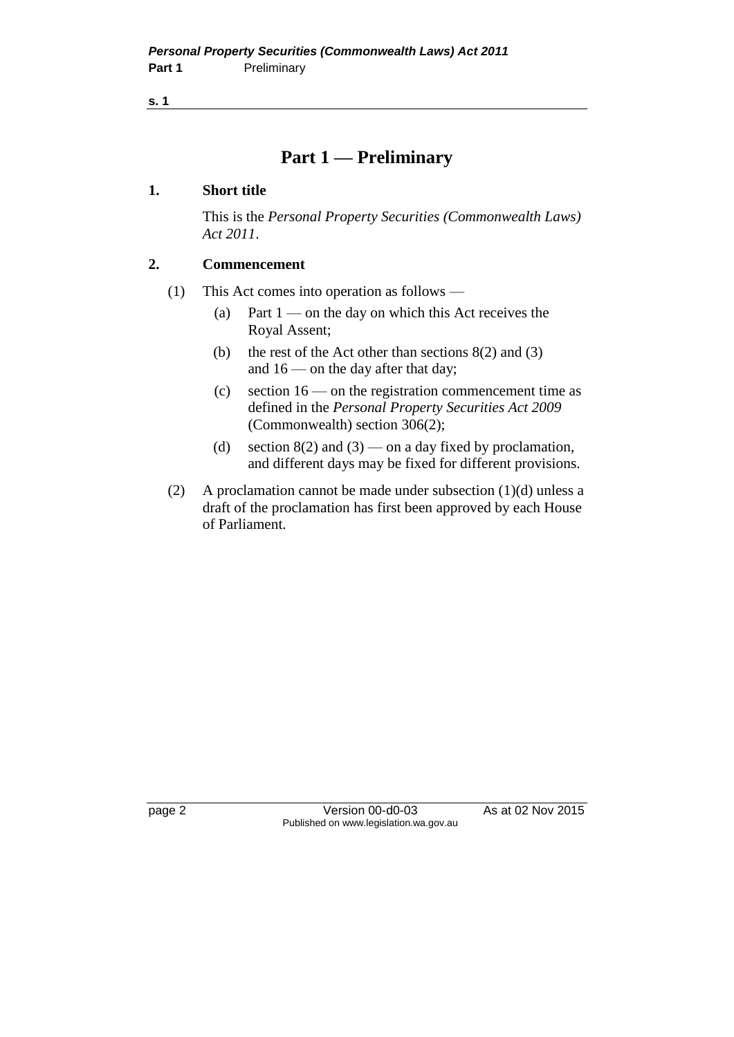### **Part 1 — Preliminary**

### **1. Short title**

This is the *Personal Property Securities (Commonwealth Laws) Act 2011*.

### **2. Commencement**

- (1) This Act comes into operation as follows
	- (a) Part  $1$  on the day on which this Act receives the Royal Assent;
	- (b) the rest of the Act other than sections 8(2) and (3) and 16 — on the day after that day;
	- (c) section  $16$  on the registration commencement time as defined in the *Personal Property Securities Act 2009* (Commonwealth) section 306(2);
	- (d) section  $8(2)$  and  $(3)$  on a day fixed by proclamation, and different days may be fixed for different provisions.
- (2) A proclamation cannot be made under subsection  $(1)(d)$  unless a draft of the proclamation has first been approved by each House of Parliament.

page 2 Version 00-d0-03 As at 02 Nov 2015 Published on www.legislation.wa.gov.au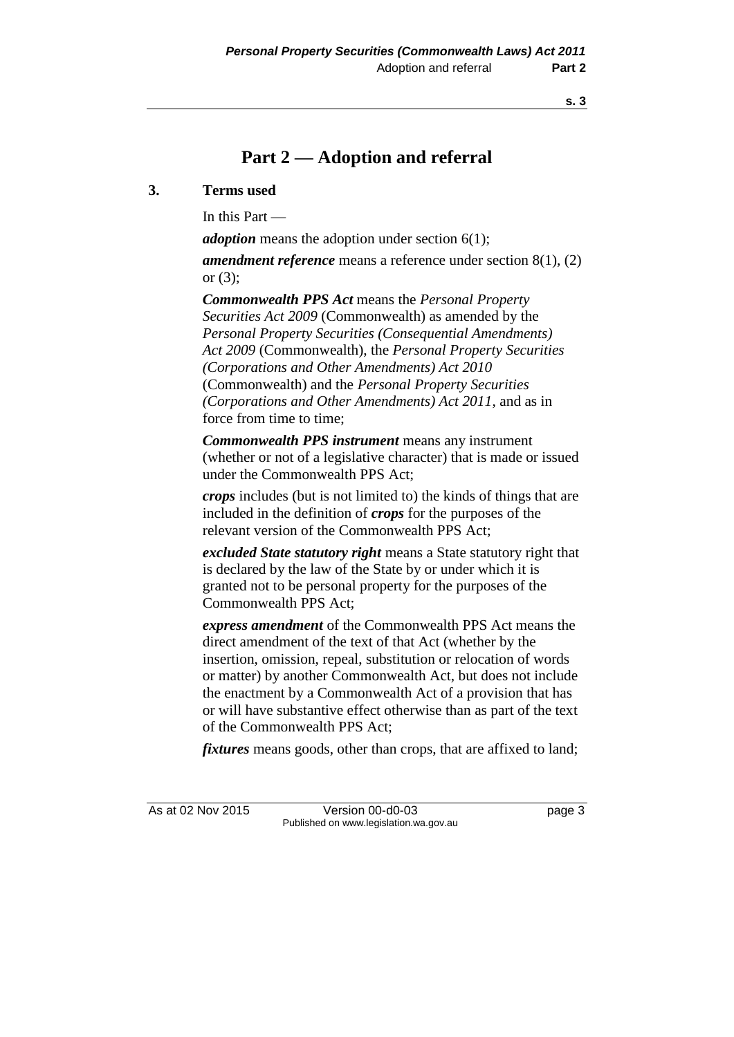# **Part 2 — Adoption and referral**

### **3. Terms used**

In this Part —

*adoption* means the adoption under section 6(1);

*amendment reference* means a reference under section 8(1), (2) or (3);

*Commonwealth PPS Act* means the *Personal Property Securities Act 2009* (Commonwealth) as amended by the *Personal Property Securities (Consequential Amendments) Act 2009* (Commonwealth), the *Personal Property Securities (Corporations and Other Amendments) Act 2010* (Commonwealth) and the *Personal Property Securities (Corporations and Other Amendments) Act 2011*, and as in force from time to time;

*Commonwealth PPS instrument* means any instrument (whether or not of a legislative character) that is made or issued under the Commonwealth PPS Act;

*crops* includes (but is not limited to) the kinds of things that are included in the definition of *crops* for the purposes of the relevant version of the Commonwealth PPS Act;

*excluded State statutory right* means a State statutory right that is declared by the law of the State by or under which it is granted not to be personal property for the purposes of the Commonwealth PPS Act;

*express amendment* of the Commonwealth PPS Act means the direct amendment of the text of that Act (whether by the insertion, omission, repeal, substitution or relocation of words or matter) by another Commonwealth Act, but does not include the enactment by a Commonwealth Act of a provision that has or will have substantive effect otherwise than as part of the text of the Commonwealth PPS Act;

*fixtures* means goods, other than crops, that are affixed to land;

As at 02 Nov 2015 Version 00-d0-03 page 3 Published on www.legislation.wa.gov.au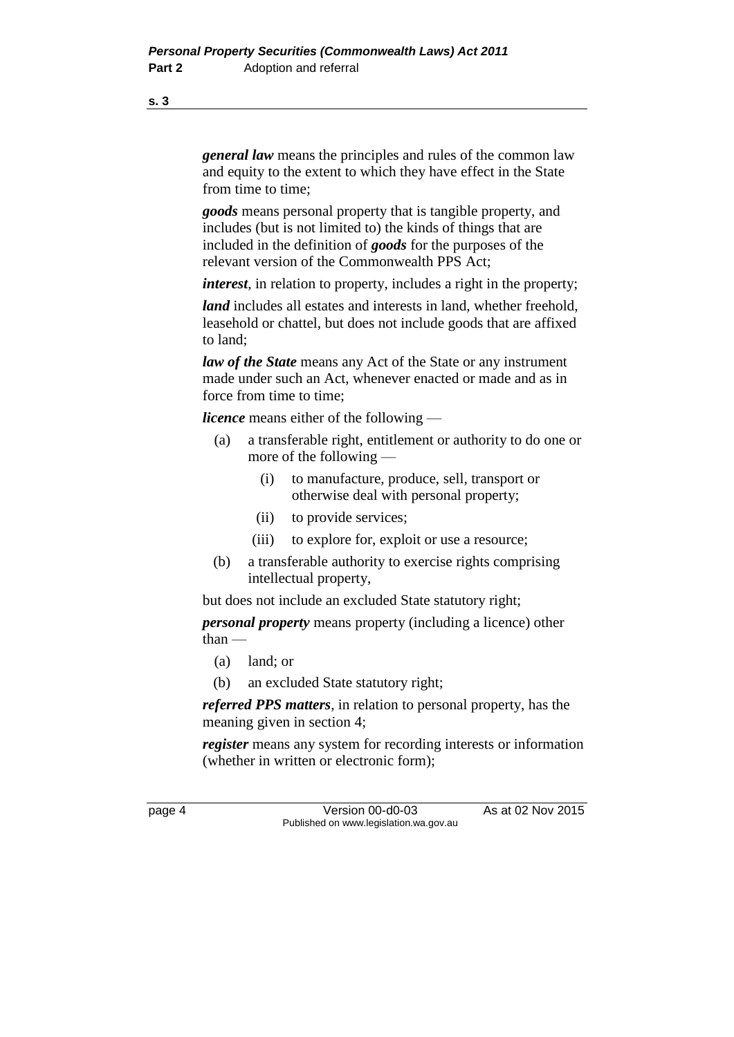*general law* means the principles and rules of the common law and equity to the extent to which they have effect in the State from time to time;

*goods* means personal property that is tangible property, and includes (but is not limited to) the kinds of things that are included in the definition of *goods* for the purposes of the relevant version of the Commonwealth PPS Act;

*interest*, in relation to property, includes a right in the property;

*land* includes all estates and interests in land, whether freehold, leasehold or chattel, but does not include goods that are affixed to land;

*law of the State* means any Act of the State or any instrument made under such an Act, whenever enacted or made and as in force from time to time;

*licence* means either of the following —

- (a) a transferable right, entitlement or authority to do one or more of the following —
	- (i) to manufacture, produce, sell, transport or otherwise deal with personal property;
	- (ii) to provide services;
	- (iii) to explore for, exploit or use a resource;
- (b) a transferable authority to exercise rights comprising intellectual property,

but does not include an excluded State statutory right;

*personal property* means property (including a licence) other than —

- (a) land; or
- (b) an excluded State statutory right;

*referred PPS matters*, in relation to personal property, has the meaning given in section 4;

*register* means any system for recording interests or information (whether in written or electronic form);

page 4 Version 00-d0-03 As at 02 Nov 2015 Published on www.legislation.wa.gov.au

**s. 3**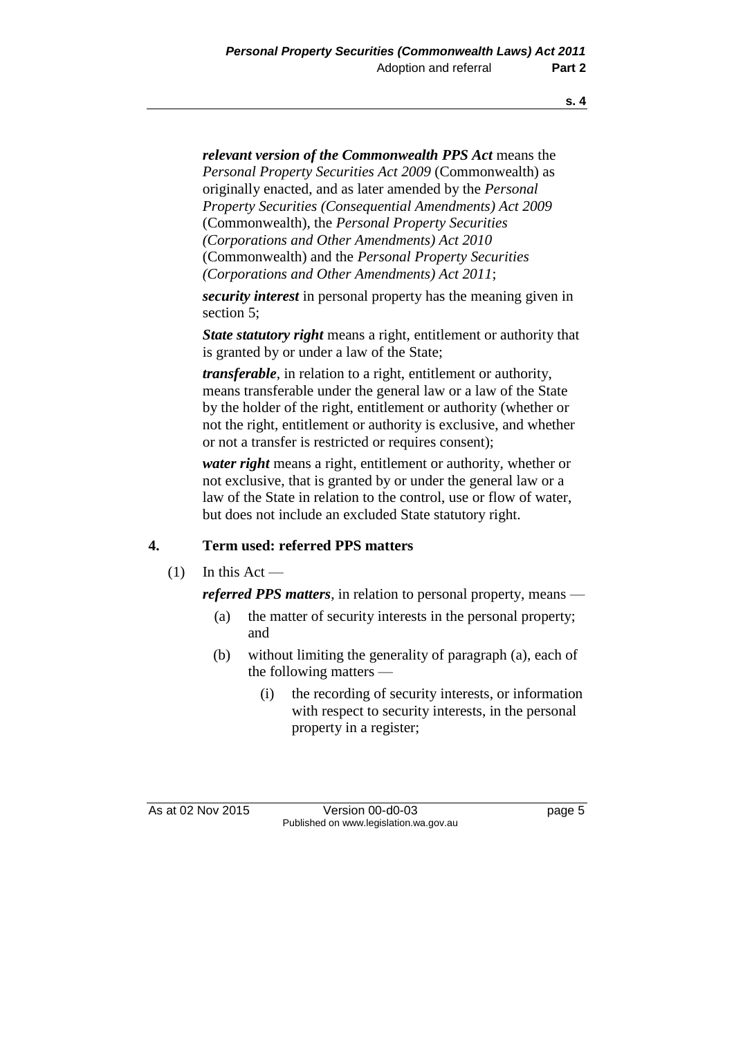*relevant version of the Commonwealth PPS Act* means the *Personal Property Securities Act 2009* (Commonwealth) as originally enacted, and as later amended by the *Personal Property Securities (Consequential Amendments) Act 2009* (Commonwealth), the *Personal Property Securities (Corporations and Other Amendments) Act 2010* (Commonwealth) and the *Personal Property Securities (Corporations and Other Amendments) Act 2011*;

*security interest* in personal property has the meaning given in section 5;

*State statutory right* means a right, entitlement or authority that is granted by or under a law of the State;

*transferable*, in relation to a right, entitlement or authority, means transferable under the general law or a law of the State by the holder of the right, entitlement or authority (whether or not the right, entitlement or authority is exclusive, and whether or not a transfer is restricted or requires consent);

*water right* means a right, entitlement or authority, whether or not exclusive, that is granted by or under the general law or a law of the State in relation to the control, use or flow of water, but does not include an excluded State statutory right.

### **4. Term used: referred PPS matters**

 $(1)$  In this Act —

*referred PPS matters*, in relation to personal property, means —

- (a) the matter of security interests in the personal property; and
- (b) without limiting the generality of paragraph (a), each of the following matters —
	- (i) the recording of security interests, or information with respect to security interests, in the personal property in a register;

As at 02 Nov 2015 Version 00-d0-03 page 5 Published on www.legislation.wa.gov.au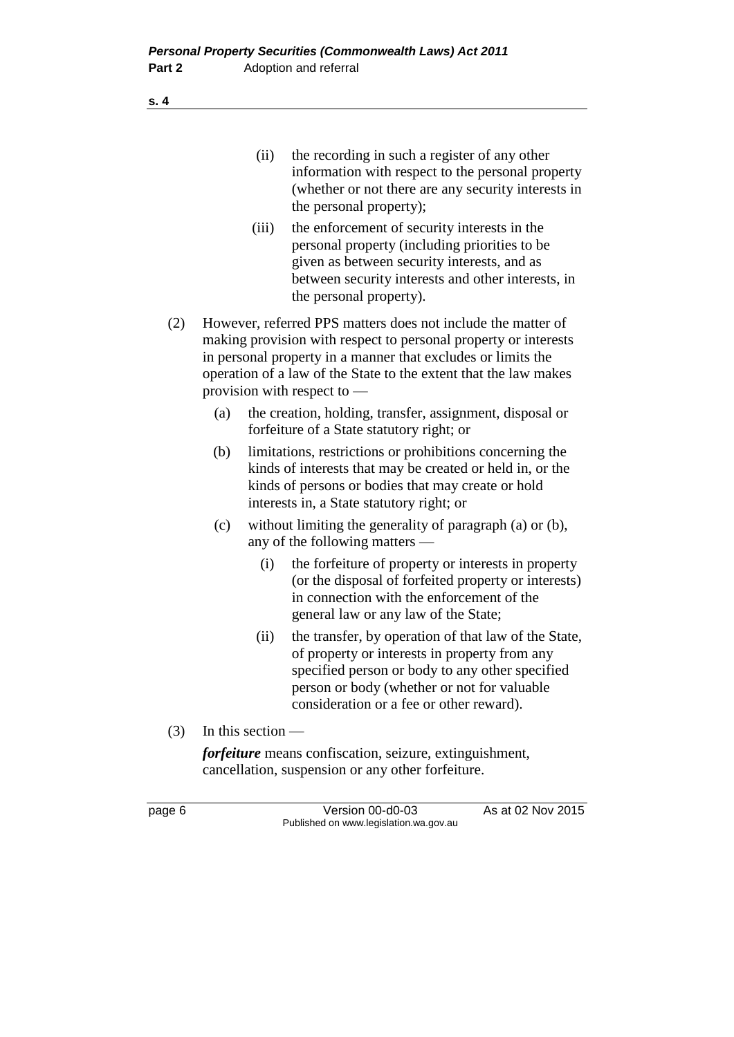- (iii) the enforcement of security interests in the personal property (including priorities to be given as between security interests, and as between security interests and other interests, in the personal property).
- (2) However, referred PPS matters does not include the matter of making provision with respect to personal property or interests in personal property in a manner that excludes or limits the operation of a law of the State to the extent that the law makes provision with respect to —
	- (a) the creation, holding, transfer, assignment, disposal or forfeiture of a State statutory right; or
	- (b) limitations, restrictions or prohibitions concerning the kinds of interests that may be created or held in, or the kinds of persons or bodies that may create or hold interests in, a State statutory right; or
	- (c) without limiting the generality of paragraph (a) or (b), any of the following matters —
		- (i) the forfeiture of property or interests in property (or the disposal of forfeited property or interests) in connection with the enforcement of the general law or any law of the State;
		- (ii) the transfer, by operation of that law of the State, of property or interests in property from any specified person or body to any other specified person or body (whether or not for valuable consideration or a fee or other reward).
- (3) In this section —

*forfeiture* means confiscation, seizure, extinguishment, cancellation, suspension or any other forfeiture.

page 6 Version 00-d0-03 As at 02 Nov 2015 Published on www.legislation.wa.gov.au

**s. 4**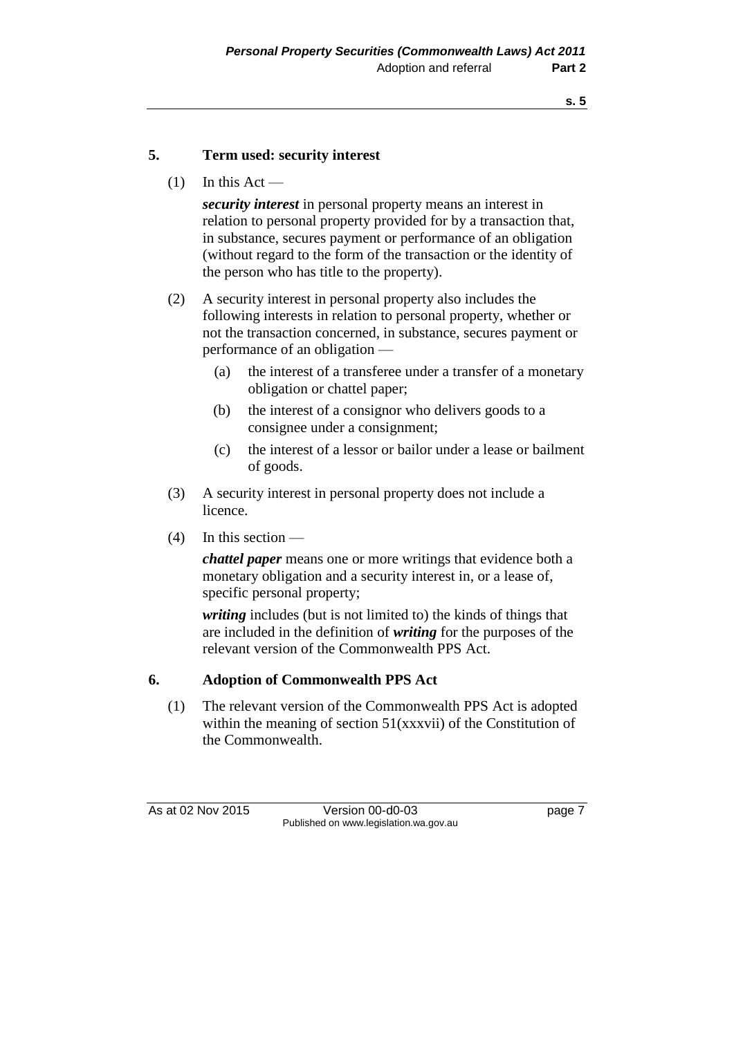### **5. Term used: security interest**

 $(1)$  In this Act —

*security interest* in personal property means an interest in relation to personal property provided for by a transaction that, in substance, secures payment or performance of an obligation (without regard to the form of the transaction or the identity of the person who has title to the property).

- (2) A security interest in personal property also includes the following interests in relation to personal property, whether or not the transaction concerned, in substance, secures payment or performance of an obligation —
	- (a) the interest of a transferee under a transfer of a monetary obligation or chattel paper;
	- (b) the interest of a consignor who delivers goods to a consignee under a consignment;
	- (c) the interest of a lessor or bailor under a lease or bailment of goods.
- (3) A security interest in personal property does not include a licence.
- (4) In this section —

*chattel paper* means one or more writings that evidence both a monetary obligation and a security interest in, or a lease of, specific personal property;

*writing* includes (but is not limited to) the kinds of things that are included in the definition of *writing* for the purposes of the relevant version of the Commonwealth PPS Act.

### **6. Adoption of Commonwealth PPS Act**

(1) The relevant version of the Commonwealth PPS Act is adopted within the meaning of section 51(xxxvii) of the Constitution of the Commonwealth.

As at 02 Nov 2015 Version 00-d0-03 page 7 Published on www.legislation.wa.gov.au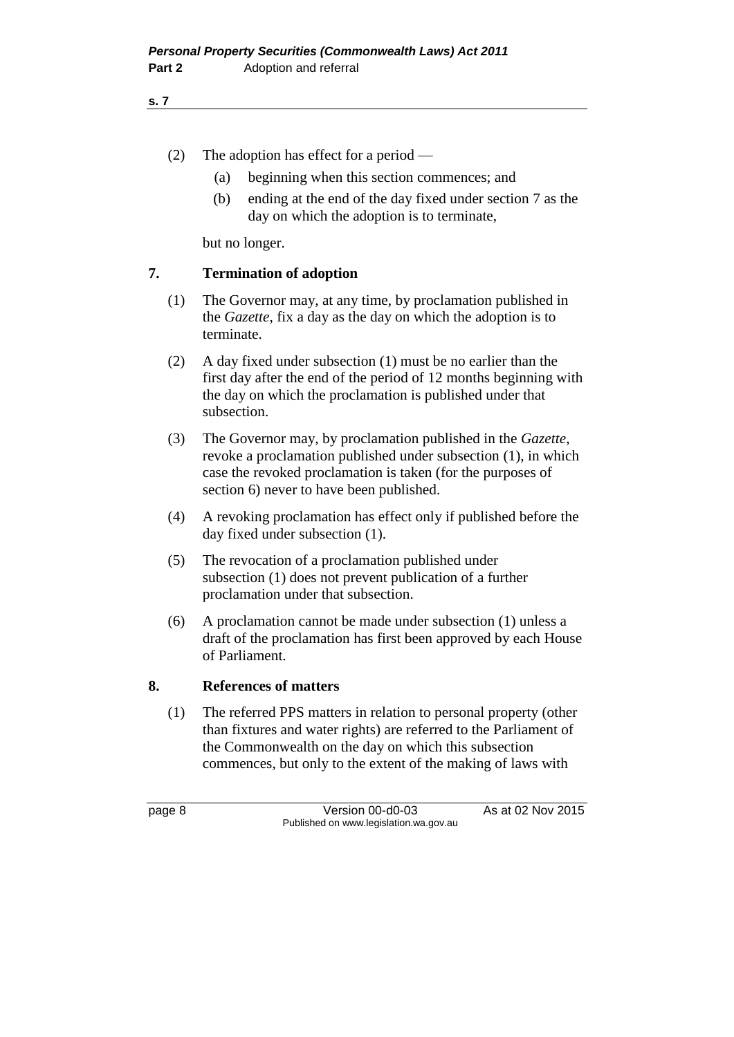- (2) The adoption has effect for a period
	- (a) beginning when this section commences; and
	- (b) ending at the end of the day fixed under section 7 as the day on which the adoption is to terminate,

but no longer.

### **7. Termination of adoption**

- (1) The Governor may, at any time, by proclamation published in the *Gazette*, fix a day as the day on which the adoption is to terminate.
- (2) A day fixed under subsection (1) must be no earlier than the first day after the end of the period of 12 months beginning with the day on which the proclamation is published under that subsection.
- (3) The Governor may, by proclamation published in the *Gazette*, revoke a proclamation published under subsection (1), in which case the revoked proclamation is taken (for the purposes of section 6) never to have been published.
- (4) A revoking proclamation has effect only if published before the day fixed under subsection (1).
- (5) The revocation of a proclamation published under subsection (1) does not prevent publication of a further proclamation under that subsection.
- (6) A proclamation cannot be made under subsection (1) unless a draft of the proclamation has first been approved by each House of Parliament.

### **8. References of matters**

(1) The referred PPS matters in relation to personal property (other than fixtures and water rights) are referred to the Parliament of the Commonwealth on the day on which this subsection commences, but only to the extent of the making of laws with

page 8 Version 00-d0-03 As at 02 Nov 2015 Published on www.legislation.wa.gov.au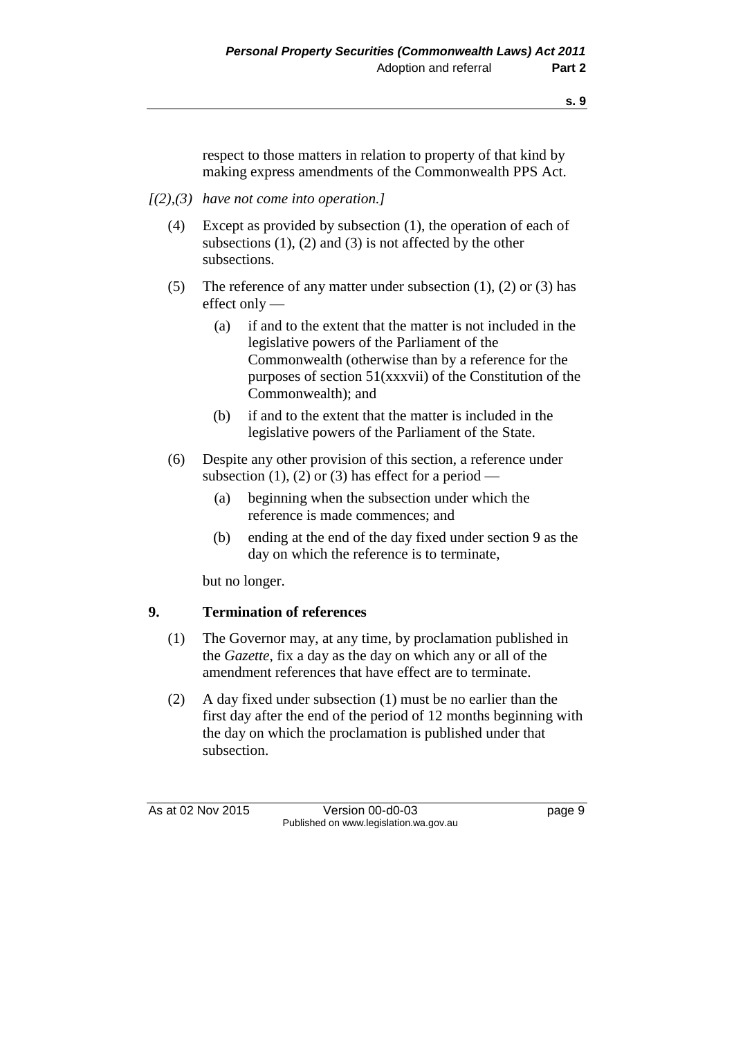respect to those matters in relation to property of that kind by making express amendments of the Commonwealth PPS Act.

- *[(2),(3) have not come into operation.]*
	- (4) Except as provided by subsection (1), the operation of each of subsections  $(1)$ ,  $(2)$  and  $(3)$  is not affected by the other subsections.
	- (5) The reference of any matter under subsection  $(1)$ ,  $(2)$  or  $(3)$  has effect only —
		- (a) if and to the extent that the matter is not included in the legislative powers of the Parliament of the Commonwealth (otherwise than by a reference for the purposes of section 51(xxxvii) of the Constitution of the Commonwealth); and
		- (b) if and to the extent that the matter is included in the legislative powers of the Parliament of the State.
	- (6) Despite any other provision of this section, a reference under subsection (1), (2) or (3) has effect for a period —
		- (a) beginning when the subsection under which the reference is made commences; and
		- (b) ending at the end of the day fixed under section 9 as the day on which the reference is to terminate,

but no longer.

### **9. Termination of references**

- (1) The Governor may, at any time, by proclamation published in the *Gazette*, fix a day as the day on which any or all of the amendment references that have effect are to terminate.
- (2) A day fixed under subsection (1) must be no earlier than the first day after the end of the period of 12 months beginning with the day on which the proclamation is published under that subsection.

As at 02 Nov 2015 Version 00-d0-03 page 9 Published on www.legislation.wa.gov.au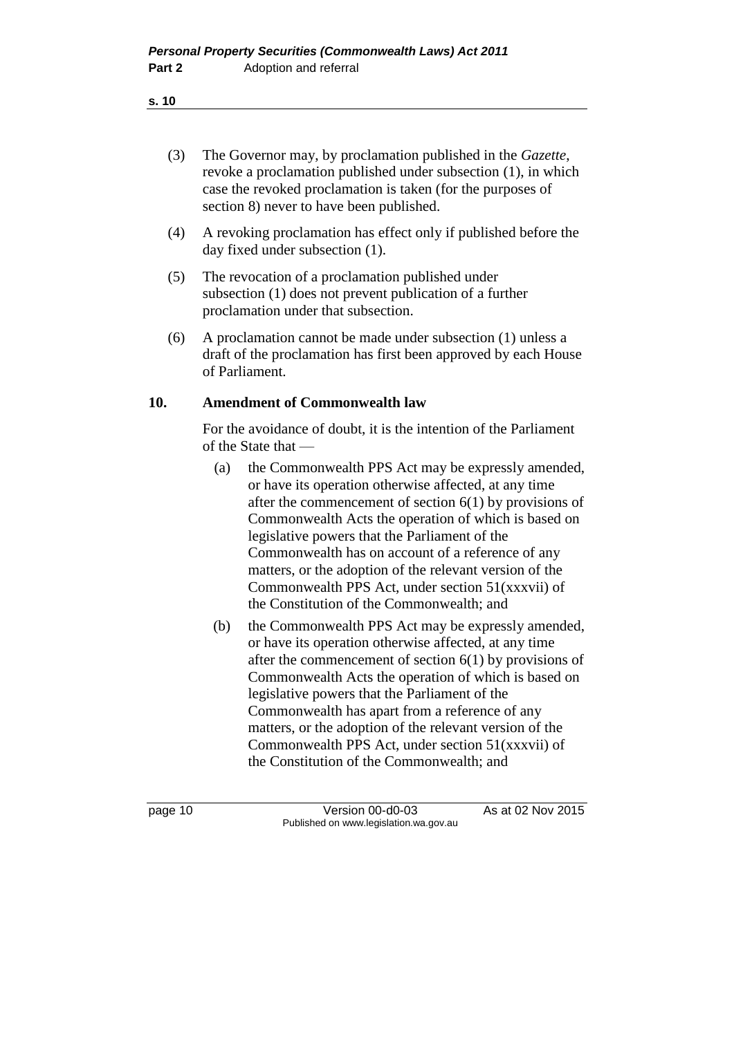- (3) The Governor may, by proclamation published in the *Gazette*, revoke a proclamation published under subsection (1), in which case the revoked proclamation is taken (for the purposes of section 8) never to have been published.
- (4) A revoking proclamation has effect only if published before the day fixed under subsection (1).
- (5) The revocation of a proclamation published under subsection (1) does not prevent publication of a further proclamation under that subsection.
- (6) A proclamation cannot be made under subsection (1) unless a draft of the proclamation has first been approved by each House of Parliament.

### **10. Amendment of Commonwealth law**

For the avoidance of doubt, it is the intention of the Parliament of the State that —

- (a) the Commonwealth PPS Act may be expressly amended, or have its operation otherwise affected, at any time after the commencement of section 6(1) by provisions of Commonwealth Acts the operation of which is based on legislative powers that the Parliament of the Commonwealth has on account of a reference of any matters, or the adoption of the relevant version of the Commonwealth PPS Act, under section 51(xxxvii) of the Constitution of the Commonwealth; and
- (b) the Commonwealth PPS Act may be expressly amended, or have its operation otherwise affected, at any time after the commencement of section 6(1) by provisions of Commonwealth Acts the operation of which is based on legislative powers that the Parliament of the Commonwealth has apart from a reference of any matters, or the adoption of the relevant version of the Commonwealth PPS Act, under section 51(xxxvii) of the Constitution of the Commonwealth; and

page 10 Version 00-d0-03 As at 02 Nov 2015 Published on www.legislation.wa.gov.au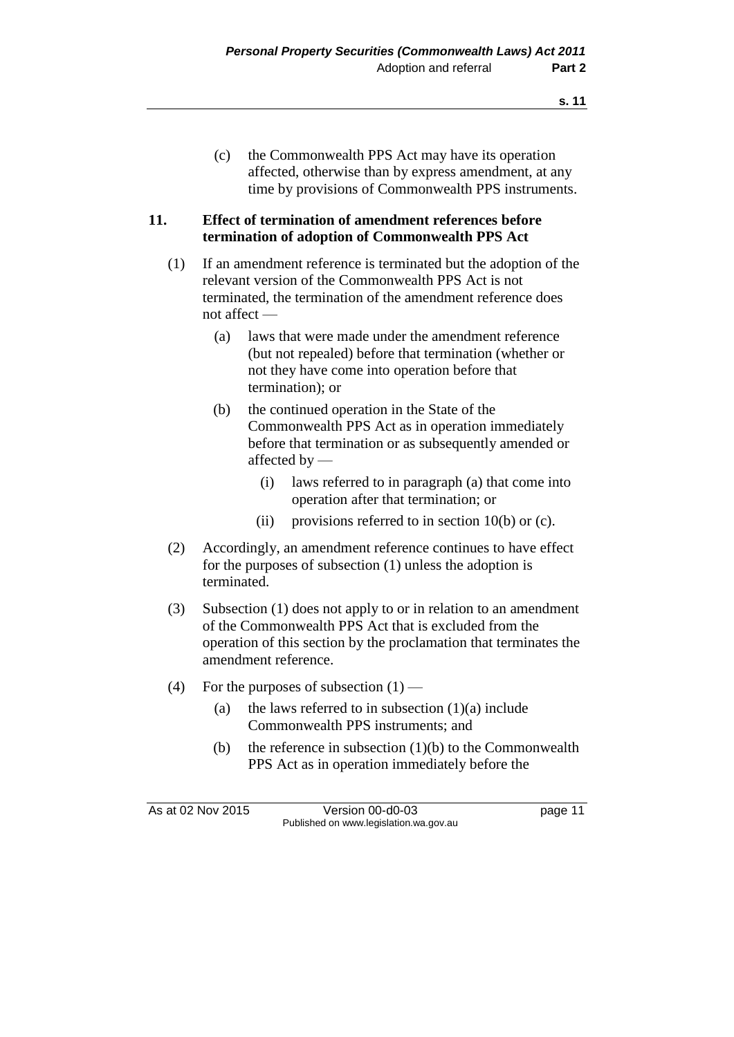### **11. Effect of termination of amendment references before termination of adoption of Commonwealth PPS Act**

- (1) If an amendment reference is terminated but the adoption of the relevant version of the Commonwealth PPS Act is not terminated, the termination of the amendment reference does not affect —
	- (a) laws that were made under the amendment reference (but not repealed) before that termination (whether or not they have come into operation before that termination); or
	- (b) the continued operation in the State of the Commonwealth PPS Act as in operation immediately before that termination or as subsequently amended or affected by —
		- (i) laws referred to in paragraph (a) that come into operation after that termination; or
		- (ii) provisions referred to in section  $10(b)$  or (c).
- (2) Accordingly, an amendment reference continues to have effect for the purposes of subsection (1) unless the adoption is terminated.
- (3) Subsection (1) does not apply to or in relation to an amendment of the Commonwealth PPS Act that is excluded from the operation of this section by the proclamation that terminates the amendment reference.
- (4) For the purposes of subsection  $(1)$ 
	- (a) the laws referred to in subsection  $(1)(a)$  include Commonwealth PPS instruments; and
	- (b) the reference in subsection  $(1)(b)$  to the Commonwealth PPS Act as in operation immediately before the

As at 02 Nov 2015 Version 00-d0-03 page 11 Published on www.legislation.wa.gov.au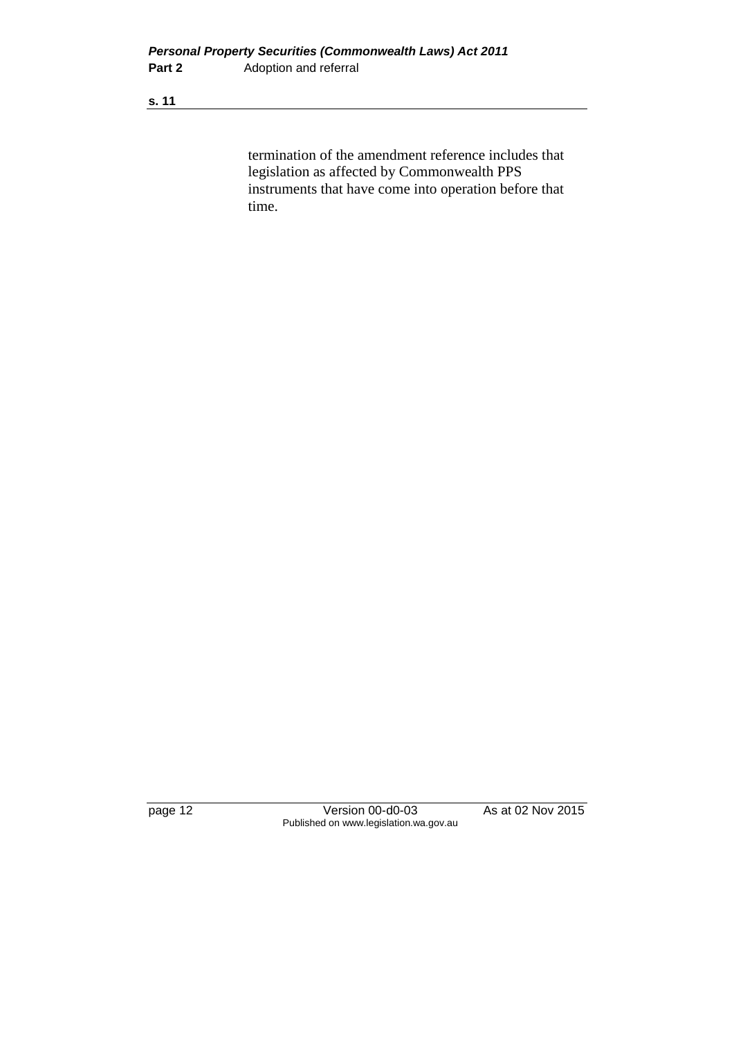termination of the amendment reference includes that legislation as affected by Commonwealth PPS instruments that have come into operation before that time.

page 12 Version 00-d0-03 As at 02 Nov 2015 Published on www.legislation.wa.gov.au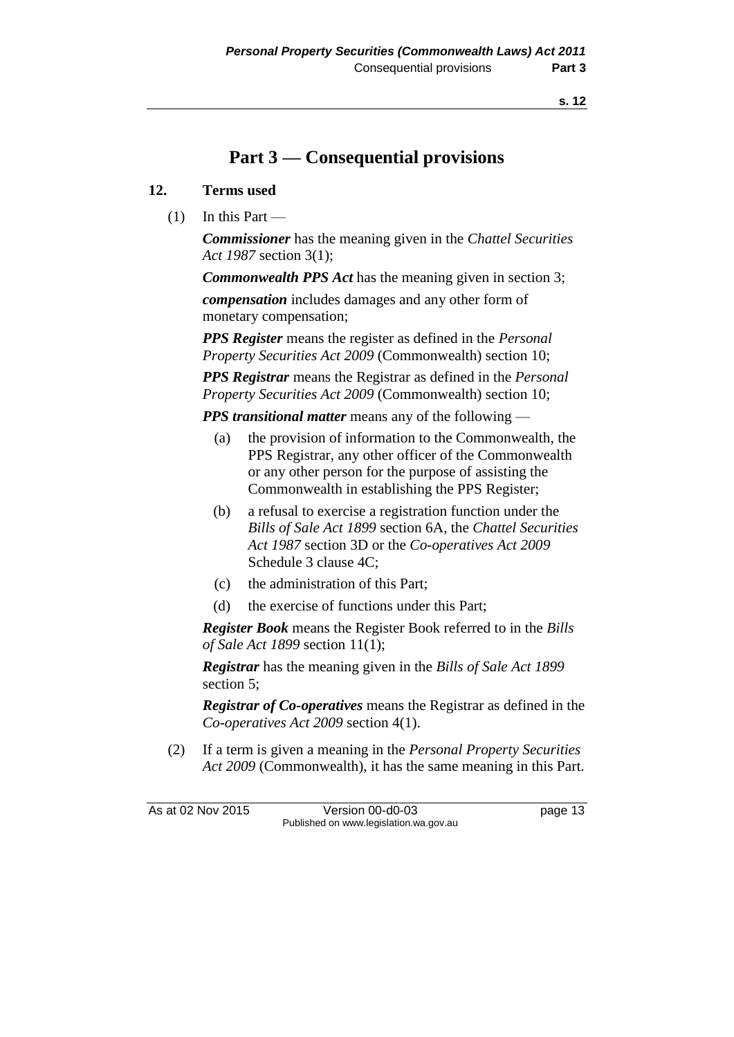# **Part 3 — Consequential provisions**

### **12. Terms used**

 $(1)$  In this Part —

*Commissioner* has the meaning given in the *Chattel Securities Act 1987* section 3(1);

*Commonwealth PPS Act* has the meaning given in section 3;

*compensation* includes damages and any other form of monetary compensation;

*PPS Register* means the register as defined in the *Personal Property Securities Act 2009* (Commonwealth) section 10;

*PPS Registrar* means the Registrar as defined in the *Personal Property Securities Act 2009* (Commonwealth) section 10;

*PPS transitional matter* means any of the following —

- (a) the provision of information to the Commonwealth, the PPS Registrar, any other officer of the Commonwealth or any other person for the purpose of assisting the Commonwealth in establishing the PPS Register;
- (b) a refusal to exercise a registration function under the *Bills of Sale Act 1899* section 6A, the *Chattel Securities Act 1987* section 3D or the *Co-operatives Act 2009* Schedule 3 clause 4C;
- (c) the administration of this Part;
- (d) the exercise of functions under this Part;

*Register Book* means the Register Book referred to in the *Bills of Sale Act 1899* section 11(1);

*Registrar* has the meaning given in the *Bills of Sale Act 1899* section 5;

*Registrar of Co-operatives* means the Registrar as defined in the *Co-operatives Act 2009* section 4(1).

(2) If a term is given a meaning in the *Personal Property Securities Act 2009* (Commonwealth), it has the same meaning in this Part.

As at 02 Nov 2015 Version 00-d0-03 page 13 Published on www.legislation.wa.gov.au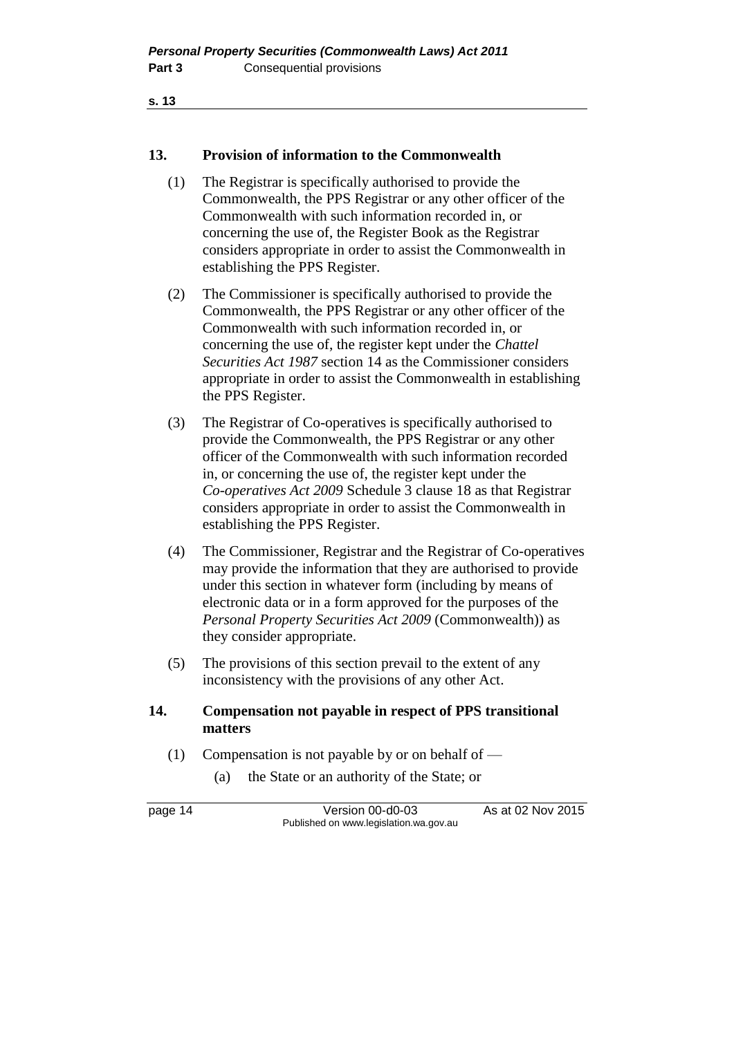### **13. Provision of information to the Commonwealth**

- (1) The Registrar is specifically authorised to provide the Commonwealth, the PPS Registrar or any other officer of the Commonwealth with such information recorded in, or concerning the use of, the Register Book as the Registrar considers appropriate in order to assist the Commonwealth in establishing the PPS Register.
- (2) The Commissioner is specifically authorised to provide the Commonwealth, the PPS Registrar or any other officer of the Commonwealth with such information recorded in, or concerning the use of, the register kept under the *Chattel Securities Act 1987* section 14 as the Commissioner considers appropriate in order to assist the Commonwealth in establishing the PPS Register.
- (3) The Registrar of Co-operatives is specifically authorised to provide the Commonwealth, the PPS Registrar or any other officer of the Commonwealth with such information recorded in, or concerning the use of, the register kept under the *Co-operatives Act 2009* Schedule 3 clause 18 as that Registrar considers appropriate in order to assist the Commonwealth in establishing the PPS Register.
- (4) The Commissioner, Registrar and the Registrar of Co-operatives may provide the information that they are authorised to provide under this section in whatever form (including by means of electronic data or in a form approved for the purposes of the *Personal Property Securities Act 2009* (Commonwealth)) as they consider appropriate.
- (5) The provisions of this section prevail to the extent of any inconsistency with the provisions of any other Act.

### **14. Compensation not payable in respect of PPS transitional matters**

- (1) Compensation is not payable by or on behalf of
	- (a) the State or an authority of the State; or

page 14 Version 00-d0-03 As at 02 Nov 2015 Published on www.legislation.wa.gov.au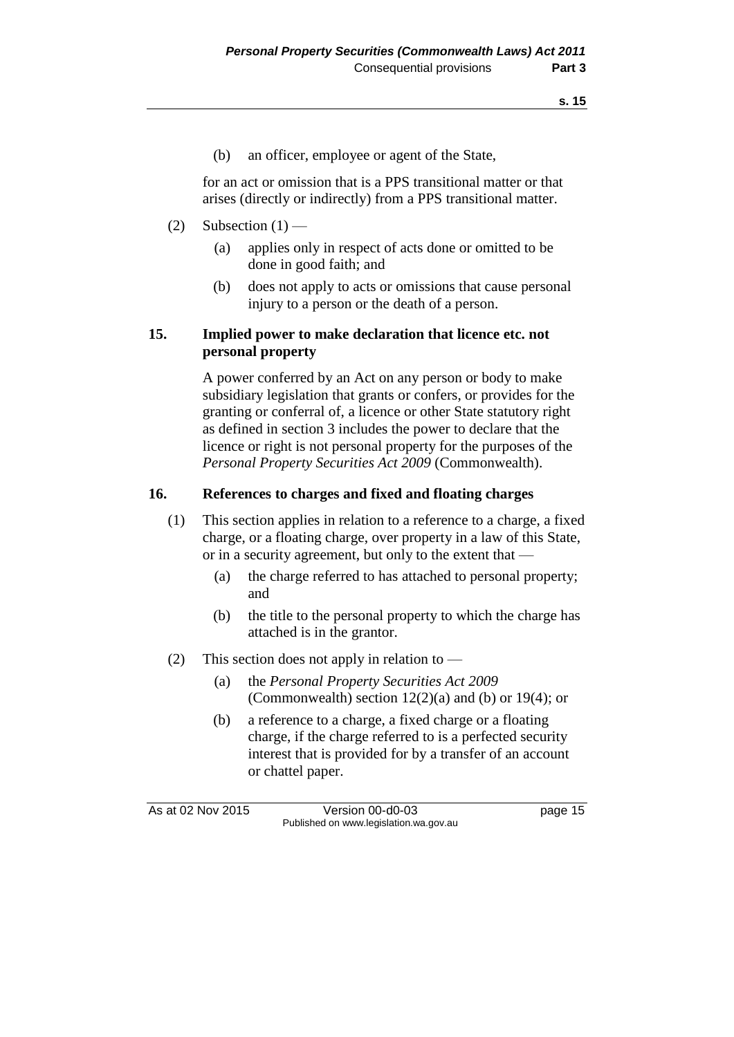(b) an officer, employee or agent of the State,

for an act or omission that is a PPS transitional matter or that arises (directly or indirectly) from a PPS transitional matter.

### (2) Subsection  $(1)$  —

- (a) applies only in respect of acts done or omitted to be done in good faith; and
- (b) does not apply to acts or omissions that cause personal injury to a person or the death of a person.

### **15. Implied power to make declaration that licence etc. not personal property**

A power conferred by an Act on any person or body to make subsidiary legislation that grants or confers, or provides for the granting or conferral of, a licence or other State statutory right as defined in section 3 includes the power to declare that the licence or right is not personal property for the purposes of the *Personal Property Securities Act 2009* (Commonwealth).

### **16. References to charges and fixed and floating charges**

- (1) This section applies in relation to a reference to a charge, a fixed charge, or a floating charge, over property in a law of this State, or in a security agreement, but only to the extent that —
	- (a) the charge referred to has attached to personal property; and
	- (b) the title to the personal property to which the charge has attached is in the grantor.
- (2) This section does not apply in relation to
	- (a) the *Personal Property Securities Act 2009* (Commonwealth) section  $12(2)(a)$  and (b) or 19(4); or
	- (b) a reference to a charge, a fixed charge or a floating charge, if the charge referred to is a perfected security interest that is provided for by a transfer of an account or chattel paper.

As at 02 Nov 2015 Version 00-d0-03 page 15 Published on www.legislation.wa.gov.au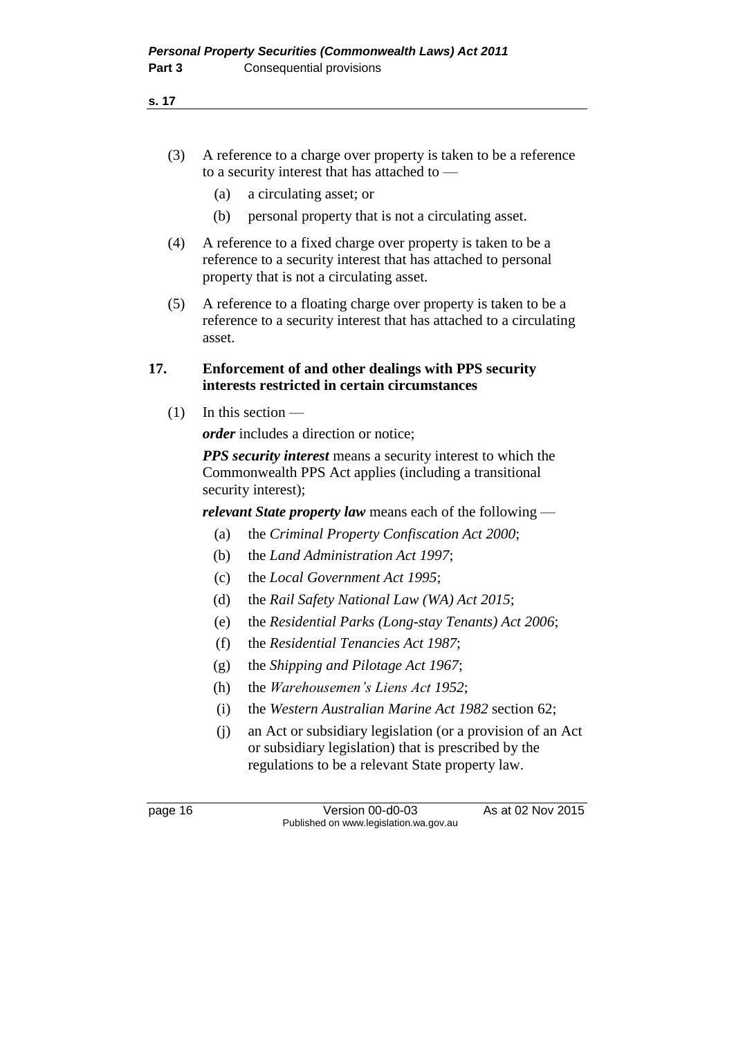- (3) A reference to a charge over property is taken to be a reference to a security interest that has attached to —
	- (a) a circulating asset; or
	- (b) personal property that is not a circulating asset.
- (4) A reference to a fixed charge over property is taken to be a reference to a security interest that has attached to personal property that is not a circulating asset.
- (5) A reference to a floating charge over property is taken to be a reference to a security interest that has attached to a circulating asset.

### **17. Enforcement of and other dealings with PPS security interests restricted in certain circumstances**

 $(1)$  In this section —

*order* includes a direction or notice;

*PPS security interest* means a security interest to which the Commonwealth PPS Act applies (including a transitional security interest);

*relevant State property law* means each of the following —

- (a) the *Criminal Property Confiscation Act 2000*;
- (b) the *Land Administration Act 1997*;
- (c) the *Local Government Act 1995*;
- (d) the *Rail Safety National Law (WA) Act 2015*;
- (e) the *Residential Parks (Long-stay Tenants) Act 2006*;
- (f) the *Residential Tenancies Act 1987*;
- (g) the *Shipping and Pilotage Act 1967*;
- (h) the *Warehousemen's Liens Act 1952*;
- (i) the *Western Australian Marine Act 1982* section 62;
- (j) an Act or subsidiary legislation (or a provision of an Act or subsidiary legislation) that is prescribed by the regulations to be a relevant State property law.

page 16 Version 00-d0-03 As at 02 Nov 2015 Published on www.legislation.wa.gov.au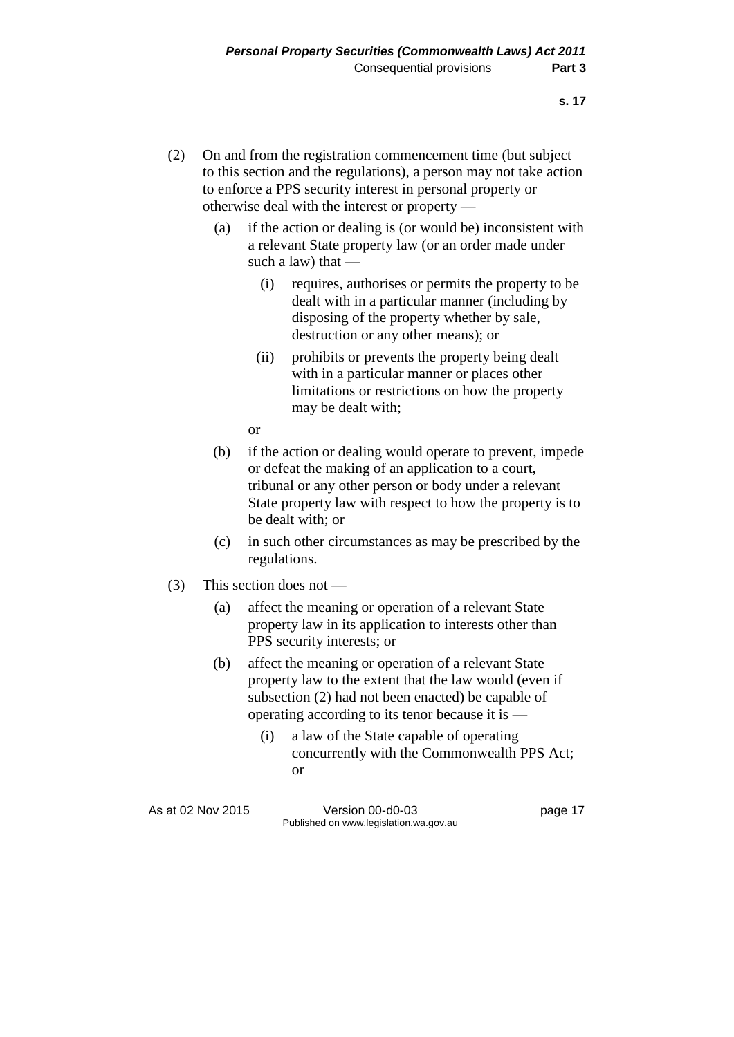- (2) On and from the registration commencement time (but subject to this section and the regulations), a person may not take action to enforce a PPS security interest in personal property or otherwise deal with the interest or property —
	- (a) if the action or dealing is (or would be) inconsistent with a relevant State property law (or an order made under such a law) that —
		- (i) requires, authorises or permits the property to be dealt with in a particular manner (including by disposing of the property whether by sale, destruction or any other means); or
		- (ii) prohibits or prevents the property being dealt with in a particular manner or places other limitations or restrictions on how the property may be dealt with;

or

- (b) if the action or dealing would operate to prevent, impede or defeat the making of an application to a court, tribunal or any other person or body under a relevant State property law with respect to how the property is to be dealt with; or
- (c) in such other circumstances as may be prescribed by the regulations.
- (3) This section does not
	- (a) affect the meaning or operation of a relevant State property law in its application to interests other than PPS security interests; or
	- (b) affect the meaning or operation of a relevant State property law to the extent that the law would (even if subsection (2) had not been enacted) be capable of operating according to its tenor because it is —
		- (i) a law of the State capable of operating concurrently with the Commonwealth PPS Act; or

As at 02 Nov 2015 Version 00-d0-03 page 17 Published on www.legislation.wa.gov.au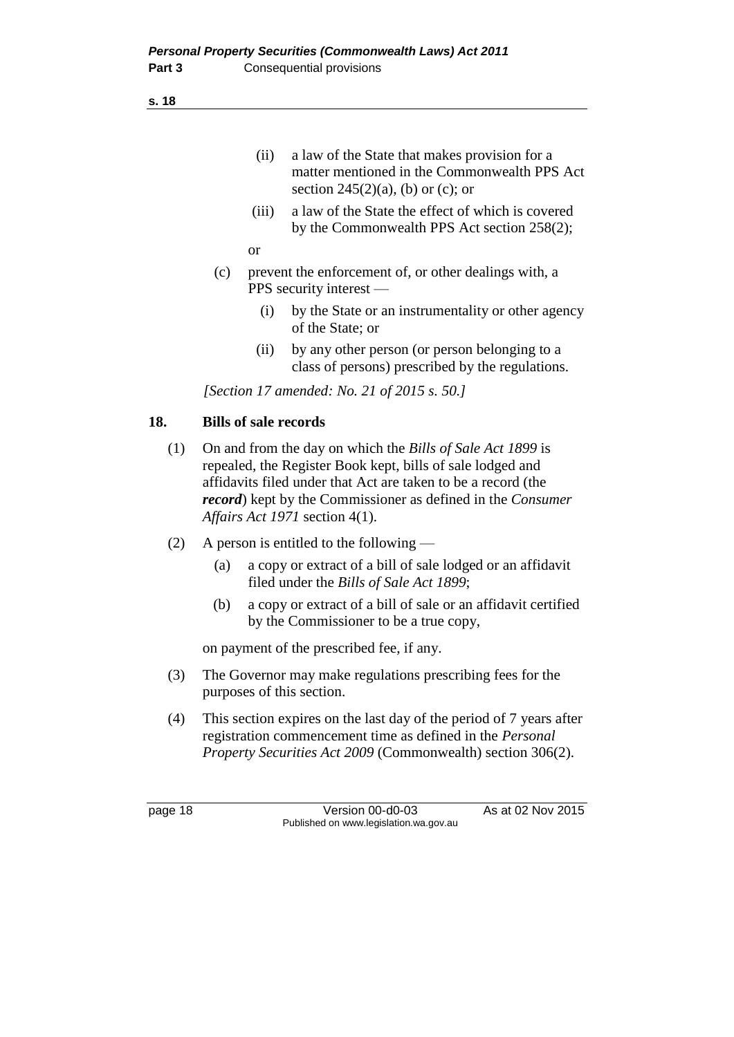- (ii) a law of the State that makes provision for a matter mentioned in the Commonwealth PPS Act section  $245(2)(a)$ , (b) or (c); or
- (iii) a law of the State the effect of which is covered by the Commonwealth PPS Act section 258(2);

or

- (c) prevent the enforcement of, or other dealings with, a PPS security interest —
	- (i) by the State or an instrumentality or other agency of the State; or
	- (ii) by any other person (or person belonging to a class of persons) prescribed by the regulations.

*[Section 17 amended: No. 21 of 2015 s. 50.]*

### **18. Bills of sale records**

- (1) On and from the day on which the *Bills of Sale Act 1899* is repealed, the Register Book kept, bills of sale lodged and affidavits filed under that Act are taken to be a record (the *record*) kept by the Commissioner as defined in the *Consumer Affairs Act 1971* section 4(1).
- (2) A person is entitled to the following
	- (a) a copy or extract of a bill of sale lodged or an affidavit filed under the *Bills of Sale Act 1899*;
	- (b) a copy or extract of a bill of sale or an affidavit certified by the Commissioner to be a true copy,

on payment of the prescribed fee, if any.

- (3) The Governor may make regulations prescribing fees for the purposes of this section.
- (4) This section expires on the last day of the period of 7 years after registration commencement time as defined in the *Personal Property Securities Act 2009* (Commonwealth) section 306(2).

page 18 Version 00-d0-03 As at 02 Nov 2015 Published on www.legislation.wa.gov.au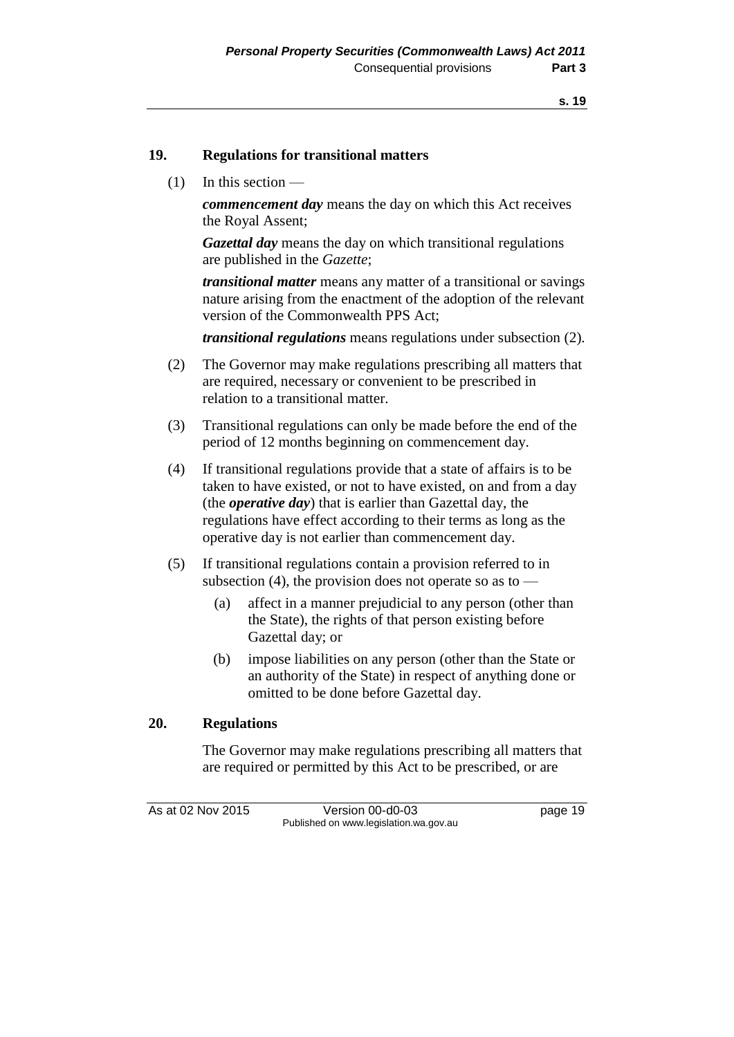### **19. Regulations for transitional matters**

(1) In this section —

*commencement day* means the day on which this Act receives the Royal Assent;

*Gazettal day* means the day on which transitional regulations are published in the *Gazette*;

*transitional matter* means any matter of a transitional or savings nature arising from the enactment of the adoption of the relevant version of the Commonwealth PPS Act;

*transitional regulations* means regulations under subsection (2).

- (2) The Governor may make regulations prescribing all matters that are required, necessary or convenient to be prescribed in relation to a transitional matter.
- (3) Transitional regulations can only be made before the end of the period of 12 months beginning on commencement day.
- (4) If transitional regulations provide that a state of affairs is to be taken to have existed, or not to have existed, on and from a day (the *operative day*) that is earlier than Gazettal day, the regulations have effect according to their terms as long as the operative day is not earlier than commencement day.
- (5) If transitional regulations contain a provision referred to in subsection (4), the provision does not operate so as to —
	- (a) affect in a manner prejudicial to any person (other than the State), the rights of that person existing before Gazettal day; or
	- (b) impose liabilities on any person (other than the State or an authority of the State) in respect of anything done or omitted to be done before Gazettal day.

### **20. Regulations**

The Governor may make regulations prescribing all matters that are required or permitted by this Act to be prescribed, or are

As at 02 Nov 2015 Version 00-d0-03 page 19 Published on www.legislation.wa.gov.au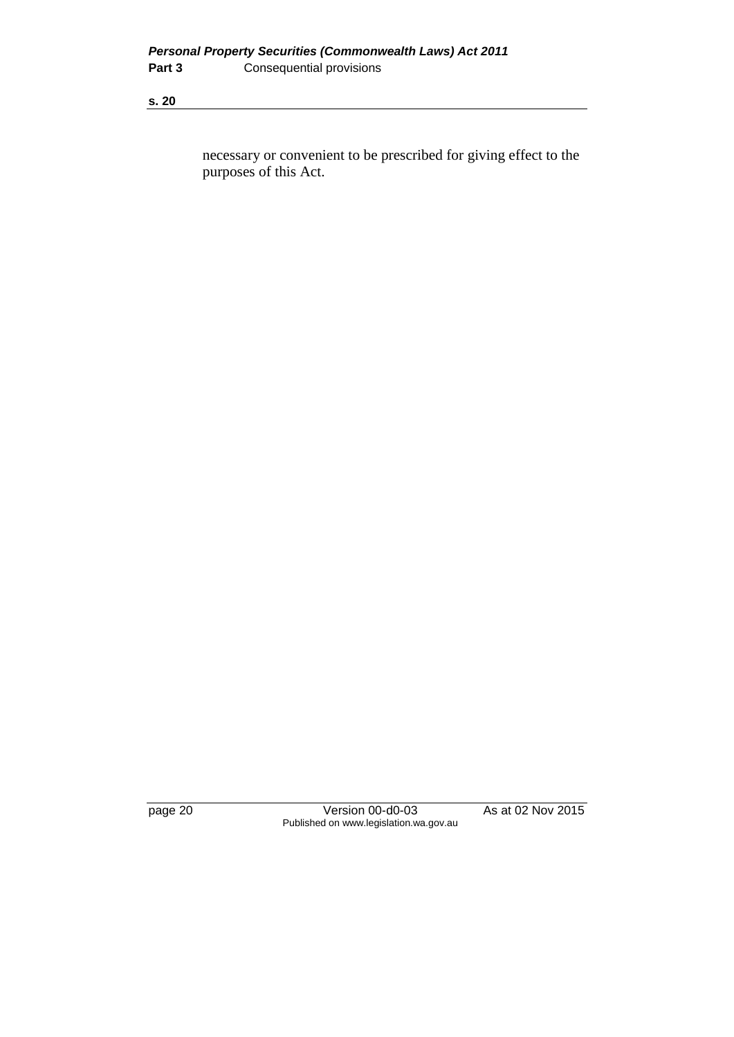necessary or convenient to be prescribed for giving effect to the purposes of this Act.

page 20 Version 00-d0-03 As at 02 Nov 2015 Published on www.legislation.wa.gov.au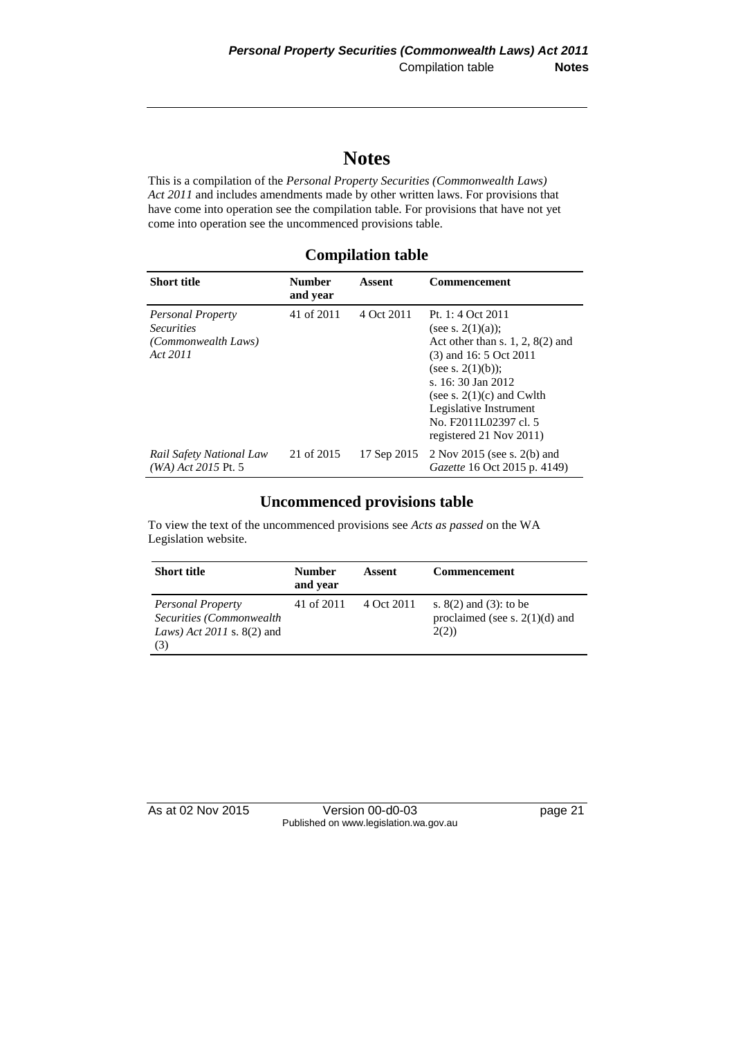# **Notes**

This is a compilation of the *Personal Property Securities (Commonwealth Laws) Act 2011* and includes amendments made by other written laws. For provisions that have come into operation see the compilation table. For provisions that have not yet come into operation see the uncommenced provisions table.

### **Compilation table**

| <b>Short title</b>                                                               | <b>Number</b><br>and year | Assent      | <b>Commencement</b>                                                                                                                                                                                                                                                   |
|----------------------------------------------------------------------------------|---------------------------|-------------|-----------------------------------------------------------------------------------------------------------------------------------------------------------------------------------------------------------------------------------------------------------------------|
| <b>Personal Property</b><br><i>Securities</i><br>(Commonwealth Laws)<br>Act 2011 | 41 of 2011                | 4 Oct 2011  | Pt. 1: 4 Oct 2011<br>(see s. $2(1)(a)$ );<br>Act other than s. $1, 2, 8(2)$ and<br>$(3)$ and 16: 5 Oct 2011<br>(see s. $2(1)(b)$ );<br>s. 16:30 Jan 2012<br>(see s. $2(1)(c)$ and Cwlth<br>Legislative Instrument<br>No. F2011L02397 cl. 5<br>registered 21 Nov 2011) |
| Rail Safety National Law<br>(WA) Act 2015 Pt. 5                                  | 21 of 2015                | 17 Sep 2015 | $2$ Nov 2015 (see s. 2(b) and<br>Gazette 16 Oct 2015 p. 4149)                                                                                                                                                                                                         |

### **Uncommenced provisions table**

To view the text of the uncommenced provisions see *Acts as passed* on the WA Legislation website.

| <b>Short title</b>                                                                                   | <b>Number</b><br>and year | Assent     | <b>Commencement</b>                                                       |
|------------------------------------------------------------------------------------------------------|---------------------------|------------|---------------------------------------------------------------------------|
| <b>Personal Property</b><br>Securities (Commonwealth)<br><i>Laws</i> ) $Act$ 2011 s. 8(2) and<br>(3) | 41 of 2011                | 4 Oct 2011 | s. $8(2)$ and $(3)$ : to be<br>proclaimed (see s. $2(1)(d)$ ) and<br>2(2) |

As at 02 Nov 2015 Version 00-d0-03 page 21 Published on www.legislation.wa.gov.au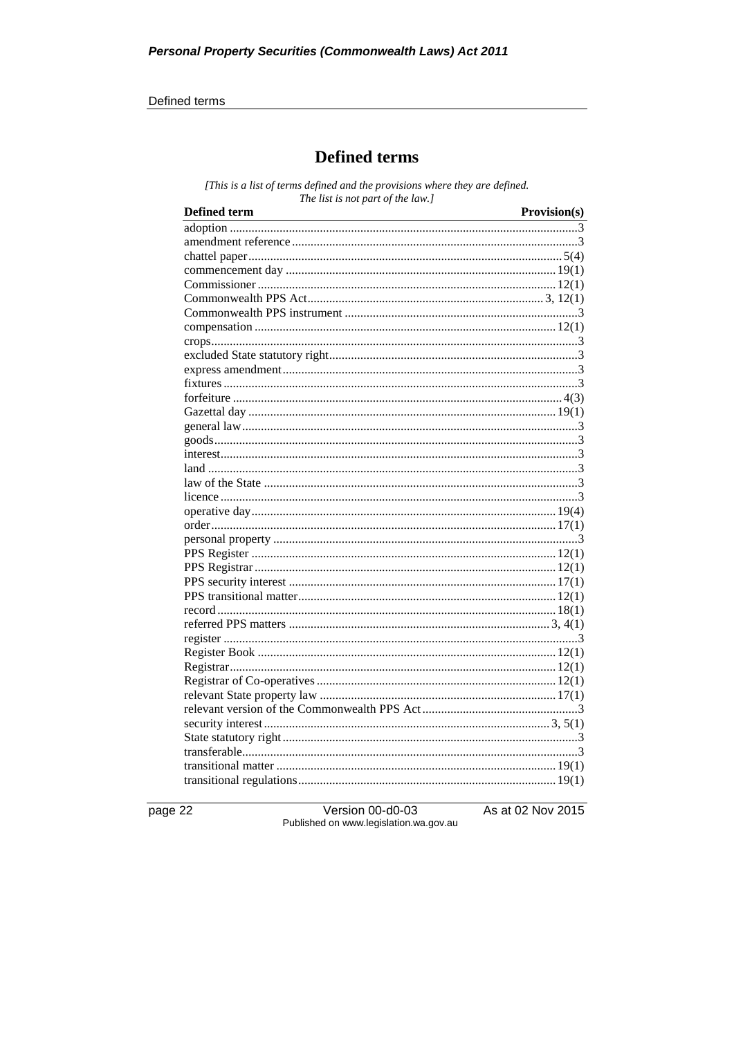#### Defined terms

### **Defined terms**

[This is a list of terms defined and the provisions where they are defined. The list is not part of the law.]

| <b>Defined term</b> | Provision(s) |
|---------------------|--------------|
|                     |              |
|                     |              |
|                     |              |
|                     |              |
|                     |              |
|                     |              |
|                     |              |
|                     |              |
|                     |              |
|                     |              |
|                     |              |
|                     |              |
|                     |              |
|                     |              |
|                     |              |
|                     |              |
|                     |              |
|                     |              |
|                     |              |
|                     |              |
|                     |              |
|                     |              |
|                     |              |
|                     |              |
|                     |              |
|                     |              |
|                     |              |
|                     |              |
|                     |              |
|                     |              |
|                     |              |
|                     |              |
|                     |              |
|                     |              |
|                     |              |
|                     |              |
|                     |              |
|                     |              |
|                     |              |
|                     |              |
|                     |              |

page 22

Version 00-d0-03 Published on www.legislation.wa.gov.au As at 02 Nov 2015